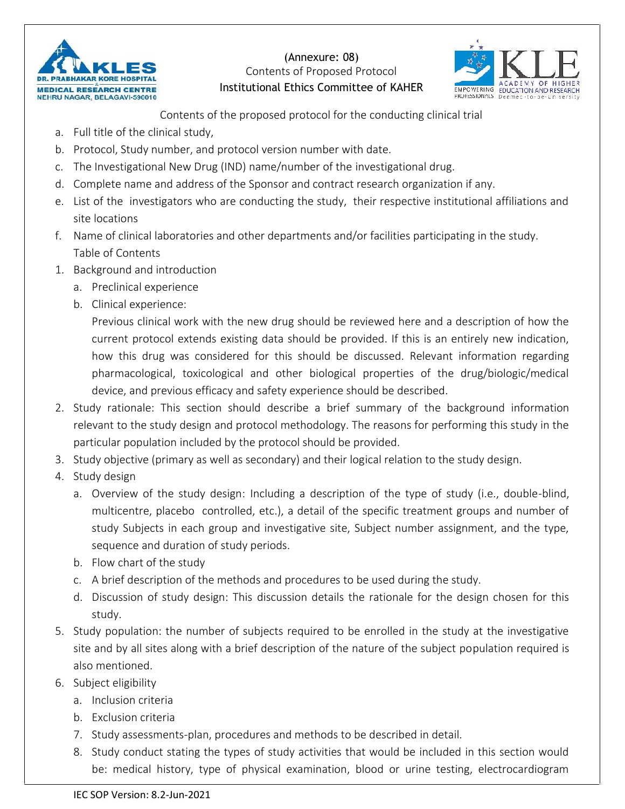

(Annexure: 08) **Contents of Proposed Protocol Institutional Ethics Committee of KAHER EMPOWERING EQUICATION AND RESEARCH**<br>**EXPENSIONAL Defined and Linux research of the series of the series of the series** 



**Contents of the proposed protocol for the conducting clinical trial**

- a. Full title of the clinical study,
- b. Protocol, Study number, and protocol version number with date.
- c. The Investigational New Drug (IND) name/number of the investigational drug.
- d. Complete name and address of the Sponsor and contract research organization if any.
- e. List of the investigators who are conducting the study, their respective institutional affiliations and site locations
- f. Name of clinical laboratories and other departments and/or facilities participating in the study. **Table of Contents**
- 1. Background and introduction
	- a. Preclinical experience
	- b. Clinical experience:

Previous clinical work with the new drug should be reviewed here and a description of how the current protocol extends existing data should be provided. If this is an entirely new indication, how this drug was considered for this should be discussed. Relevant information regarding pharmacological, toxicological and other biological properties of the drug/biologic/medical device, and previous efficacy and safety experience should be described.

- 2. Study rationale: This section should describe a brief summary of the background information relevant to the study design and protocol methodology. The reasons for performing this study in the particular population included by the protocol should be provided.
- 3. Study objective (primary as well as secondary) and their logical relation to the study design.
- 4. Study design
	- a. **Overview of the study design:** Including a description of the type of study (i.e., double-blind, multicentre, placebo controlled, etc.), a detail of the specific treatment groups and number of study Subjects in each group and investigative site, Subject number assignment, and the type, sequence and duration of study periods.
	- b. Flow chart of the study
	- c. A brief description of the methods and procedures to be used during the study.
	- d. Discussion of study design: This discussion details the rationale for the design chosen for this study.
- 5. Study population: the number of subjects required to be enrolled in the study at the investigative site and by all sites along with a brief description of the nature of the subject population required is also mentioned.
- 6. Subject eligibility
	- a. Inclusion criteria
	- b. Exclusion criteria
	- 7. Study assessments-plan, procedures and methods to be described in detail.
	- 8. Study conduct stating the types of study activities that would be included in this section would be: medical history, type of physical examination, blood or urine testing, electrocardiogram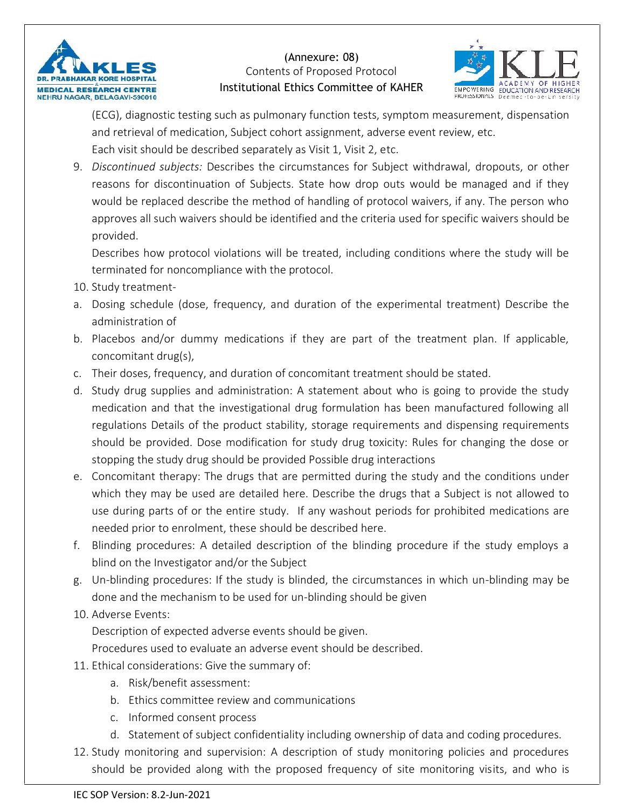

(Annexure: 08) **Contents of Proposed Protocol Institutional Ethics Committee of KAHER EMPOWERING EQUICATION AND RESEARCH**<br>FROM SAFET DUCATION AND RESEARCH A PROPESSIONAL DEFINE THE INCHES



(ECG), diagnostic testing such as pulmonary function tests, symptom measurement, dispensation and retrieval of medication, Subject cohort assignment, adverse event review, etc. Each visit should be described separately as Visit 1, Visit 2, etc.

9. *Discontinued subjects:* Describes the circumstances for Subject withdrawal, dropouts, or other reasons for discontinuation of Subjects. State how drop outs would be managed and if they would be replaced describe the method of handling of protocol waivers, if any. The person who approves all such waivers should be identified and the criteria used for specific waivers should be provided.

Describes how protocol violations will be treated, including conditions where the study will be terminated for noncompliance with the protocol.

- 10. Study treatment-
- a. Dosing schedule (dose, frequency, and duration of the experimental treatment) Describe the administration of
- b. Placebos and/or dummy medications if they are part of the treatment plan. If applicable, concomitant drug(s),
- c. Their doses, frequency, and duration of concomitant treatment should be stated.
- d. Study drug supplies and administration: A statement about who is going to provide the study medication and that the investigational drug formulation has been manufactured following all regulations Details of the product stability, storage requirements and dispensing requirements should be provided. Dose modification for study drug toxicity: Rules for changing the dose or stopping the study drug should be provided Possible drug interactions
- e. Concomitant therapy: The drugs that are permitted during the study and the conditions under which they may be used are detailed here. Describe the drugs that a Subject is not allowed to use during parts of or the entire study. If any washout periods for prohibited medications are needed prior to enrolment, these should be described here.
- f. Blinding procedures: A detailed description of the blinding procedure if the study employs a blind on the Investigator and/or the Subject
- g. Un-blinding procedures: If the study is blinded, the circumstances in which un-blinding may be done and the mechanism to be used for un-blinding should be given
- 10. Adverse Events:

Description of expected adverse events should be given.

Procedures used to evaluate an adverse event should be described.

- 11. Ethical considerations: Give the summary of:
	- a. Risk/benefit assessment:
	- b. Ethics committee review and communications
	- c. Informed consent process
	- d. Statement of subject confidentiality including ownership of data and coding procedures.
- 12. Study monitoring and supervision: A description of study monitoring policies and procedures should be provided along with the proposed frequency of site monitoring visits, and who is